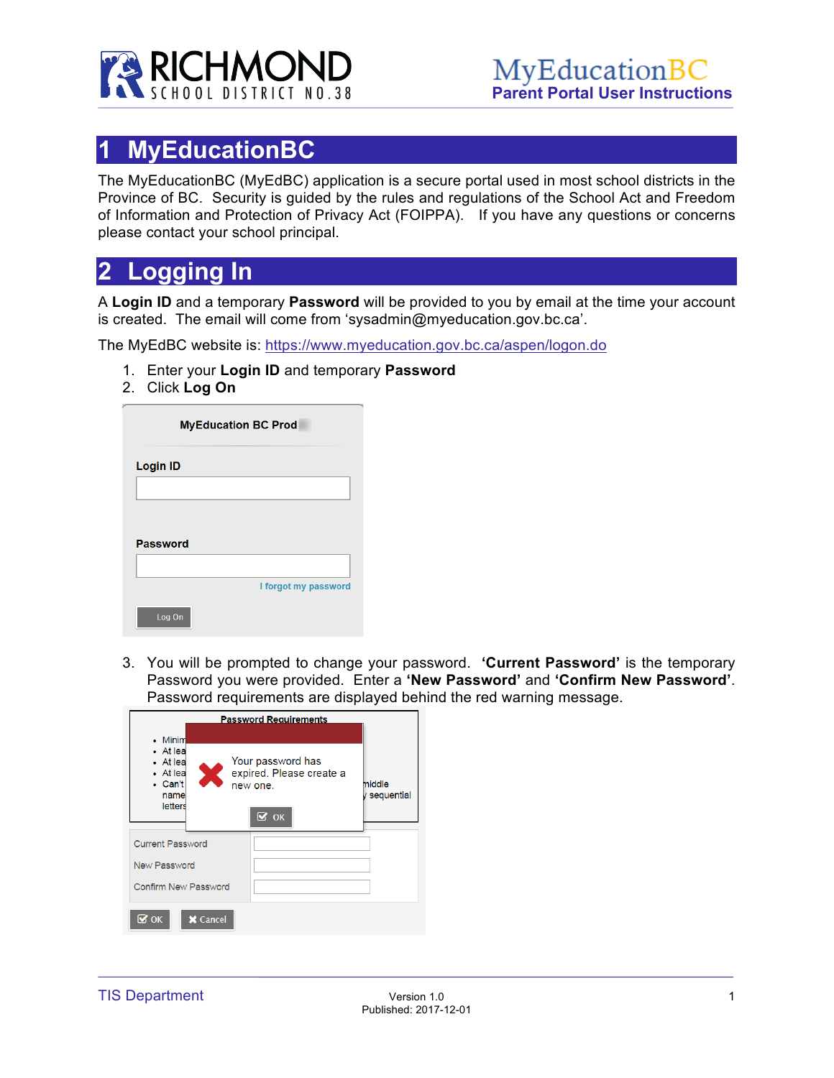

# **1 MyEducationBC**

The MyEducationBC (MyEdBC) application is a secure portal used in most school districts in the Province of BC. Security is guided by the rules and regulations of the School Act and Freedom of Information and Protection of Privacy Act (FOIPPA). If you have any questions or concerns please contact your school principal.

## **2 Logging In**

A **Login ID** and a temporary **Password** will be provided to you by email at the time your account is created. The email will come from 'sysadmin@myeducation.gov.bc.ca'.

The MyEdBC website is: https://www.myeducation.gov.bc.ca/aspen/logon.do

- 1. Enter your **Login ID** and temporary **Password**
- 2. Click **Log On**

| <b>MyEducation BC Prod</b> |                      |
|----------------------------|----------------------|
| <b>Login ID</b>            |                      |
|                            |                      |
| <b>Password</b>            |                      |
|                            |                      |
|                            | I forgot my password |
| Log On                     |                      |

3. You will be prompted to change your password. **'Current Password'** is the temporary Password you were provided. Enter a **'New Password'** and **'Confirm New Password'**. Password requirements are displayed behind the red warning message.

| <b>Password Requirements</b>                                                                                                                       |                        |
|----------------------------------------------------------------------------------------------------------------------------------------------------|------------------------|
| • Minim<br>• At lea<br>Your password has<br>• At lea<br>Ж<br>expired. Please create a<br>• At lea<br>• Can't<br>new one.<br>name<br><b>letters</b> | middle<br>y sequential |
| $\overline{\mathbf{S}}$ ok<br><b>Current Password</b><br>New Password                                                                              |                        |
| <b>Confirm New Password</b>                                                                                                                        |                        |
| $\overline{\mathbf{S}}$ ok<br><b>X</b> Cancel                                                                                                      |                        |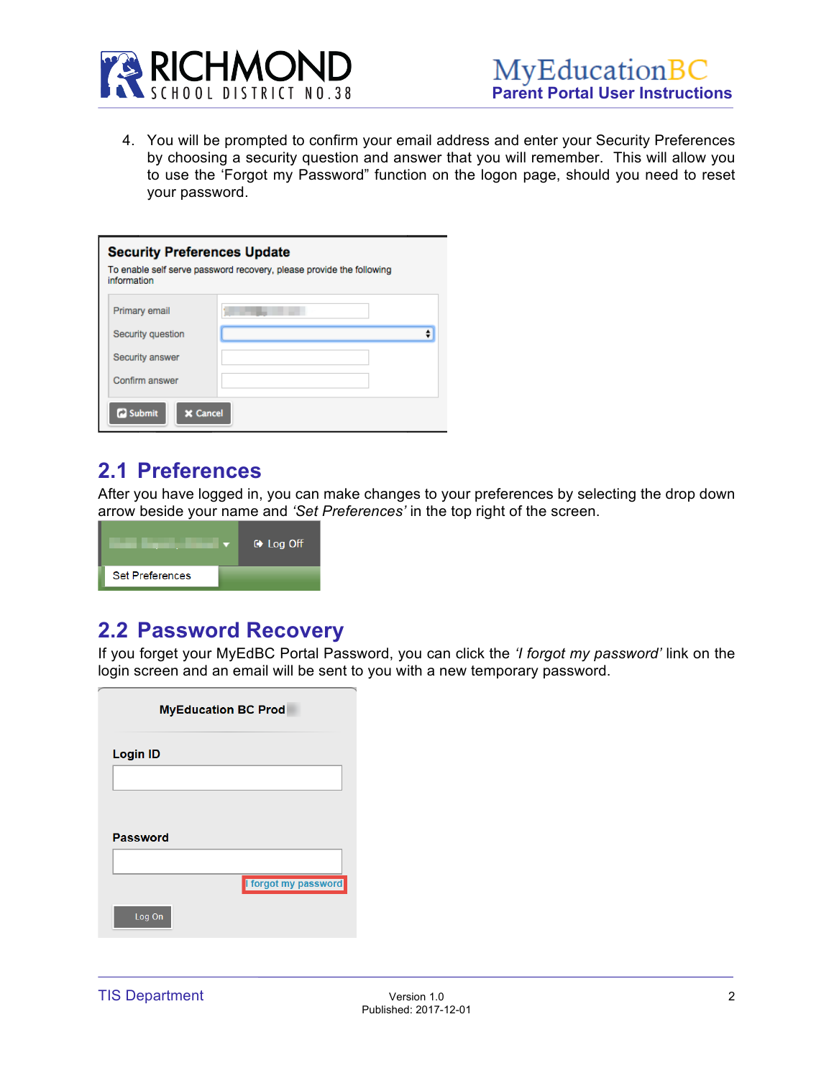

4. You will be prompted to confirm your email address and enter your Security Preferences by choosing a security question and answer that you will remember. This will allow you to use the 'Forgot my Password" function on the logon page, should you need to reset your password.

| <b>Security Preferences Update</b><br>To enable self serve password recovery, please provide the following<br>information |  |  |  |  |  |  |  |
|---------------------------------------------------------------------------------------------------------------------------|--|--|--|--|--|--|--|
| Primary email                                                                                                             |  |  |  |  |  |  |  |
| Security question                                                                                                         |  |  |  |  |  |  |  |
| Security answer                                                                                                           |  |  |  |  |  |  |  |
| Confirm answer                                                                                                            |  |  |  |  |  |  |  |
| <b>C</b> Submit<br><b>X</b> Cancel                                                                                        |  |  |  |  |  |  |  |

#### **2.1 Preferences**

After you have logged in, you can make changes to your preferences by selecting the drop down arrow beside your name and *'Set Preferences'* in the top right of the screen.



#### **2.2 Password Recovery**

If you forget your MyEdBC Portal Password, you can click the *'I forgot my password'* link on the login screen and an email will be sent to you with a new temporary password.

| <b>MyEducation BC Prod</b> |                      |  |  |  |  |  |  |
|----------------------------|----------------------|--|--|--|--|--|--|
| <b>Login ID</b>            |                      |  |  |  |  |  |  |
|                            |                      |  |  |  |  |  |  |
|                            |                      |  |  |  |  |  |  |
| <b>Password</b>            |                      |  |  |  |  |  |  |
|                            |                      |  |  |  |  |  |  |
|                            | I forgot my password |  |  |  |  |  |  |
| Log On                     |                      |  |  |  |  |  |  |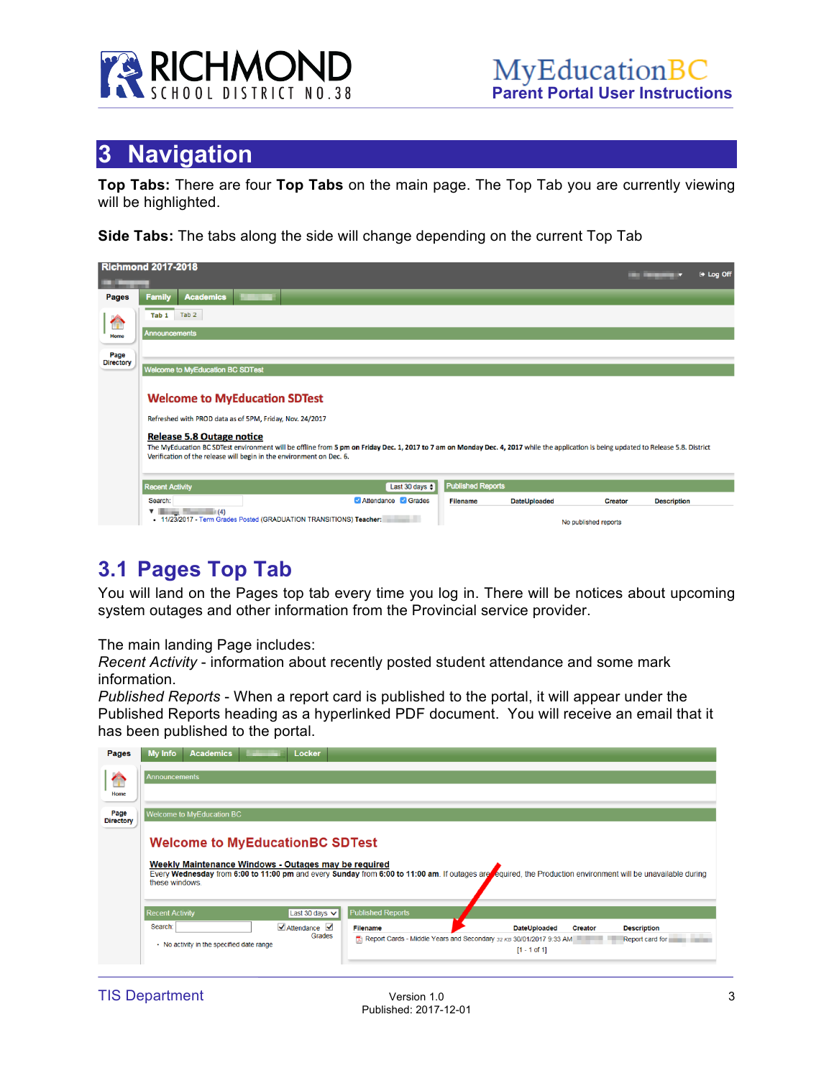

## **3 Navigation**

**Top Tabs:** There are four **Top Tabs** on the main page. The Top Tab you are currently viewing will be highlighted.

**Side Tabs:** The tabs along the side will change depending on the current Top Tab

| <b>Richmond 2017-2018</b> |                                                                                      |                                                                                                                                      |  |                                                                      |                                                                                                                                                                                       |                          |                     |                      |                    | (+ Log Off |
|---------------------------|--------------------------------------------------------------------------------------|--------------------------------------------------------------------------------------------------------------------------------------|--|----------------------------------------------------------------------|---------------------------------------------------------------------------------------------------------------------------------------------------------------------------------------|--------------------------|---------------------|----------------------|--------------------|------------|
| Pages                     | <b>Family</b>                                                                        | <b>Academics</b>                                                                                                                     |  |                                                                      |                                                                                                                                                                                       |                          |                     |                      |                    |            |
|                           | Tab 1                                                                                | Tab <sub>2</sub>                                                                                                                     |  |                                                                      |                                                                                                                                                                                       |                          |                     |                      |                    |            |
| Home                      | <b>Announcements</b>                                                                 |                                                                                                                                      |  |                                                                      |                                                                                                                                                                                       |                          |                     |                      |                    |            |
| Page                      |                                                                                      |                                                                                                                                      |  |                                                                      |                                                                                                                                                                                       |                          |                     |                      |                    |            |
| <b>Directory</b>          |                                                                                      | <b>Welcome to MyEducation BC SDTest</b>                                                                                              |  |                                                                      |                                                                                                                                                                                       |                          |                     |                      |                    |            |
|                           |                                                                                      | <b>Welcome to MyEducation SDTest</b><br>Refreshed with PROD data as of 5PM, Friday, Nov. 24/2017<br><b>Release 5.8 Outage notice</b> |  | Verification of the release will begin in the environment on Dec. 6. | The MyEducation BC SDTest environment will be offline from 5 pm on Friday Dec. 1, 2017 to 7 am on Monday Dec. 4, 2017 while the application is being updated to Release 5.8. District |                          |                     |                      |                    |            |
|                           | <b>Recent Activity</b>                                                               |                                                                                                                                      |  |                                                                      | Last 30 days $\div$                                                                                                                                                                   | <b>Published Reports</b> |                     |                      |                    |            |
|                           | Search:                                                                              |                                                                                                                                      |  |                                                                      | Attendance <b>Grades</b>                                                                                                                                                              | <b>Filename</b>          | <b>DateUploaded</b> | <b>Creator</b>       | <b>Description</b> |            |
|                           | (4)<br>▼<br>-<br>- 11/23/2017 - Term Grades Posted (GRADUATION TRANSITIONS) Teacher: |                                                                                                                                      |  |                                                                      |                                                                                                                                                                                       |                          |                     | No published reports |                    |            |

### **3.1 Pages Top Tab**

You will land on the Pages top tab every time you log in. There will be notices about upcoming system outages and other information from the Provincial service provider.

The main landing Page includes:

*Recent Activity* - information about recently posted student attendance and some mark information.

*Published Reports* - When a report card is published to the portal, it will appear under the Published Reports heading as a hyperlinked PDF document. You will receive an email that it has been published to the portal.

| Pages                    | My Info<br><b>Academics</b>                                                                                                                                                                                                                                                      | Locker                                                           |                                                                                                                                                                                           |  |  |  |  |  |
|--------------------------|----------------------------------------------------------------------------------------------------------------------------------------------------------------------------------------------------------------------------------------------------------------------------------|------------------------------------------------------------------|-------------------------------------------------------------------------------------------------------------------------------------------------------------------------------------------|--|--|--|--|--|
| $\blacktriangle$<br>Home | <b>Announcements</b>                                                                                                                                                                                                                                                             |                                                                  |                                                                                                                                                                                           |  |  |  |  |  |
| Page<br><b>Directory</b> | <b>Welcome to MyEducation BC</b>                                                                                                                                                                                                                                                 |                                                                  |                                                                                                                                                                                           |  |  |  |  |  |
|                          | <b>Welcome to MyEducationBC SDTest</b><br>Weekly Maintenance Windows - Outages may be required<br>Every Wednesday from 6:00 to 11:00 pm and every Sunday from 6:00 to 11:00 am. If outages are required, the Production environment will be unavailable during<br>these windows. |                                                                  |                                                                                                                                                                                           |  |  |  |  |  |
|                          | <b>Recent Activity</b>                                                                                                                                                                                                                                                           | Last 30 days $\vee$                                              | <b>Published Reports</b>                                                                                                                                                                  |  |  |  |  |  |
|                          | Search:<br>• No activity in the specified date range                                                                                                                                                                                                                             | $\blacktriangleright$ Attendance $\blacktriangleright$<br>Grades | <b>Filename</b><br><b>DateUploaded</b><br><b>Description</b><br><b>Creator</b><br>Report Cards - Middle Years and Secondary 32 KB 30/01/2017 9:33 AM<br>Report card for<br>$[1 - 1$ of 1] |  |  |  |  |  |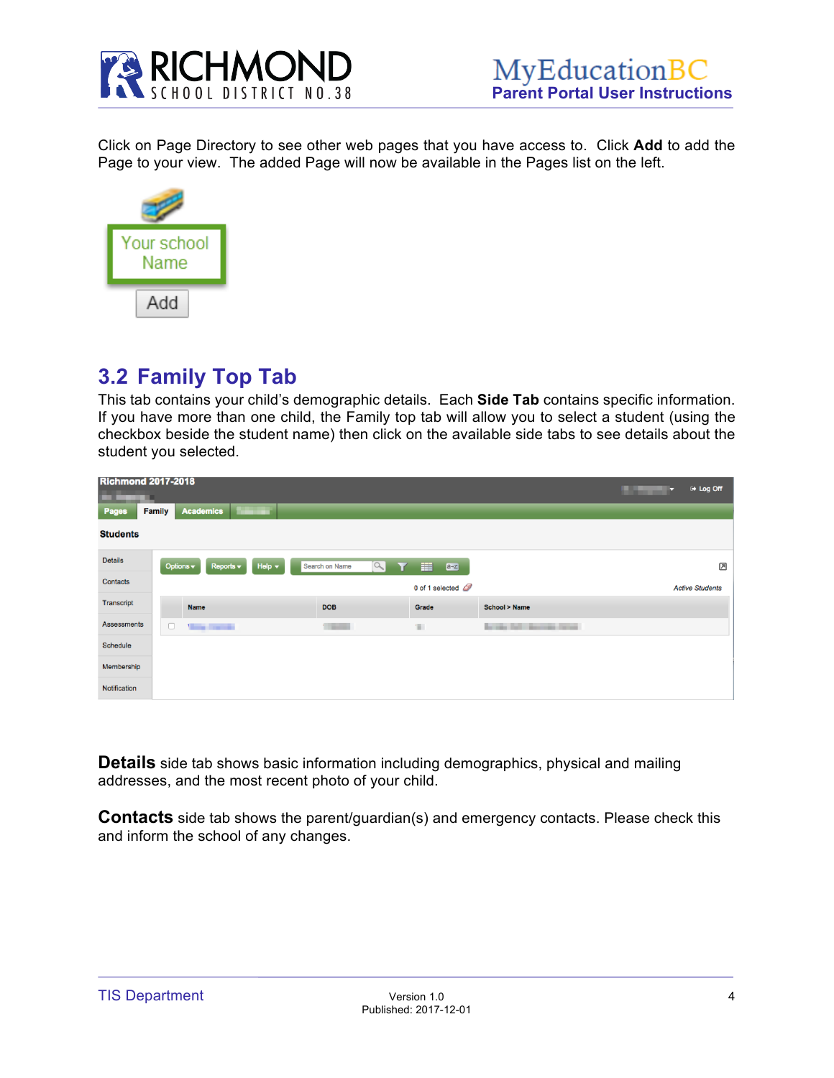

Click on Page Directory to see other web pages that you have access to. Click **Add** to add the Page to your view. The added Page will now be available in the Pages list on the left.



### **3.2 Family Top Tab**

This tab contains your child's demographic details. Each **Side Tab** contains specific information. If you have more than one child, the Family top tab will allow you to select a student (using the checkbox beside the student name) then click on the available side tabs to see details about the student you selected.

| ▬               | <b>Richmond 2017-2018</b>                                              |                            |                                                         |                | tog Off<br>o           |
|-----------------|------------------------------------------------------------------------|----------------------------|---------------------------------------------------------|----------------|------------------------|
| Pages           | <b>Academics</b><br>ш<br><b>Family</b>                                 |                            |                                                         |                |                        |
| <b>Students</b> |                                                                        |                            |                                                         |                |                        |
| Details         | Options v<br>Help $\blacktriangledown$<br>Reports $\blacktriangledown$ | $\alpha$<br>Search on Name | 田<br>$a - z$                                            |                | 因                      |
| Contacts        |                                                                        |                            | 0 of 1 selected $\mathcal{Q}$                           |                | <b>Active Students</b> |
| Transcript      | <b>Name</b>                                                            | <b>DOB</b>                 | Grade                                                   | School > Name  |                        |
| Assessments     | $\Box$<br><b>Service Controller</b>                                    | <b>Contract Contract</b>   | $\mathcal{C}^{\mathcal{C}}_{\mathcal{C}^{\mathcal{C}}}$ | <b>Service</b> |                        |
| Schedule        |                                                                        |                            |                                                         |                |                        |
| Membership      |                                                                        |                            |                                                         |                |                        |
| Notification    |                                                                        |                            |                                                         |                |                        |

**Details** side tab shows basic information including demographics, physical and mailing addresses, and the most recent photo of your child.

**Contacts** side tab shows the parent/guardian(s) and emergency contacts. Please check this and inform the school of any changes.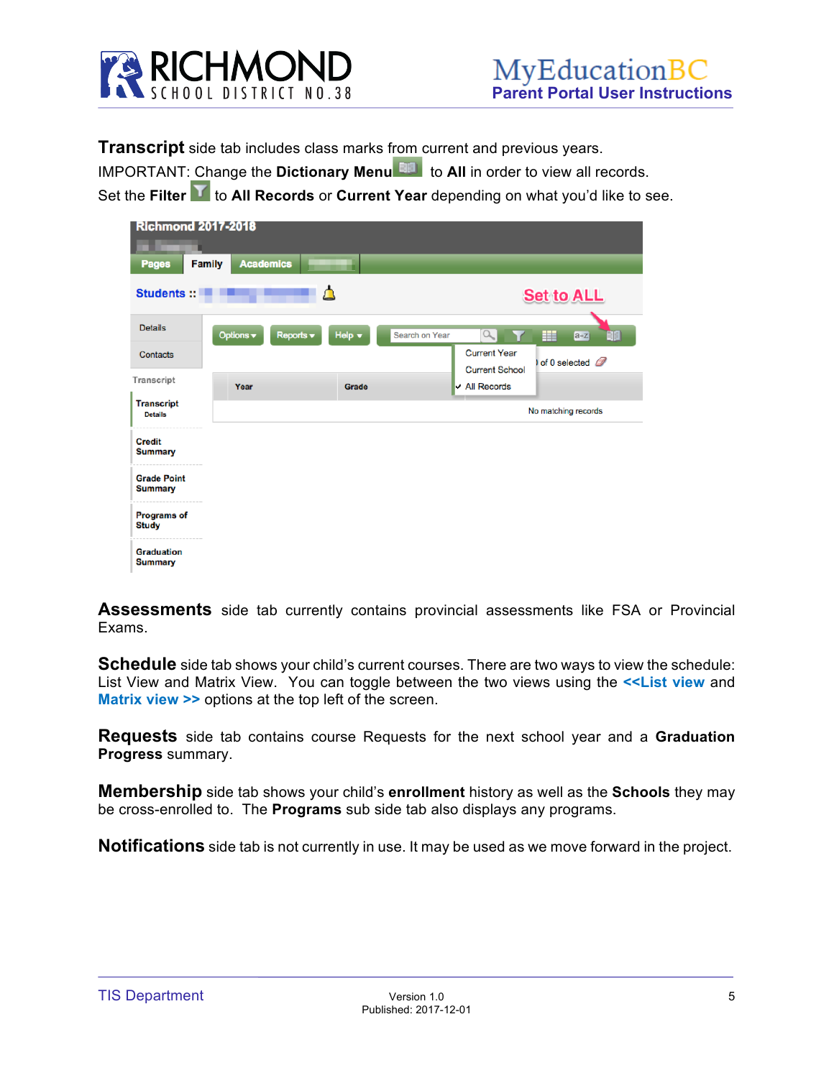

**Transcript** side tab includes class marks from current and previous years.

IMPORTANT: Change the **Dictionary Menu** to **All** in order to view all records.

Set the **Filter T** to **All Records** or **Current Year** depending on what you'd like to see.

| <b>Richmond 2017-2018</b><br><b>Pages</b> | <b>Family</b><br><b>Academics</b> |                                            |                                              |                            |
|-------------------------------------------|-----------------------------------|--------------------------------------------|----------------------------------------------|----------------------------|
| <b>Students::</b>                         |                                   | Δ                                          |                                              | <b>Set to ALL</b>          |
| <b>Details</b>                            | Options v                         | Help $\overline{\phantom{a}}$<br>Reports v | $\alpha$<br>Search on Year                   | ▦<br>$a + z$               |
| Contacts                                  |                                   |                                            | <b>Current Year</b><br><b>Current School</b> | of 0 selected $\mathscr D$ |
| Transcript                                | Year                              | Grade                                      | $\triangleright$ All Records                 |                            |
| <b>Transcript</b><br><b>Details</b>       |                                   |                                            |                                              | No matching records        |
| <b>Credit</b><br><b>Summary</b>           |                                   |                                            |                                              |                            |
| <b>Grade Point</b><br><b>Summary</b>      |                                   |                                            |                                              |                            |
| <b>Programs of</b><br><b>Study</b>        |                                   |                                            |                                              |                            |
| <b>Graduation</b><br><b>Summary</b>       |                                   |                                            |                                              |                            |

**Assessments** side tab currently contains provincial assessments like FSA or Provincial Exams.

**Schedule** side tab shows your child's current courses. There are two ways to view the schedule: List View and Matrix View. You can toggle between the two views using the **<<List view** and **Matrix view >>** options at the top left of the screen.

**Requests** side tab contains course Requests for the next school year and a **Graduation Progress** summary.

**Membership** side tab shows your child's **enrollment** history as well as the **Schools** they may be cross-enrolled to. The **Programs** sub side tab also displays any programs.

**Notifications** side tab is not currently in use. It may be used as we move forward in the project.